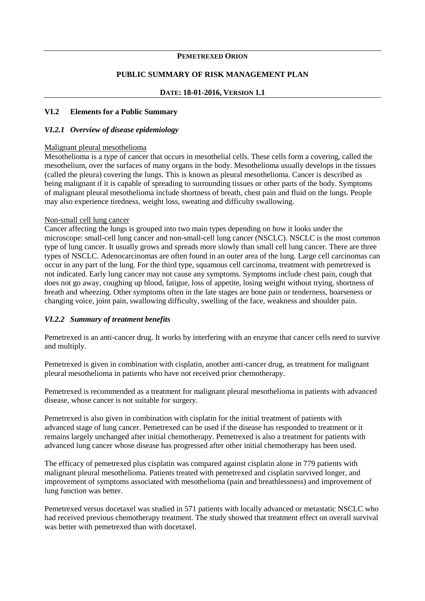#### **PEMETREXED ORION**

#### **PUBLIC SUMMARY OF RISK MANAGEMENT PLAN**

#### **DATE: 18-01-2016, VERSION 1.1**

#### **VI.2 Elements for a Public Summary**

#### *VI.2.1 Overview of disease epidemiology*

#### Malignant pleural mesothelioma

Mesothelioma is a type of cancer that occurs in mesothelial cells. These cells form a covering, called the mesothelium, over the surfaces of many organs in the body. Mesothelioma usually develops in the tissues (called the pleura) covering the lungs. This is known as pleural mesothelioma. Cancer is described as being malignant if it is capable of spreading to surrounding tissues or other parts of the body. Symptoms of malignant pleural mesothelioma include shortness of breath, chest pain and fluid on the lungs. People may also experience tiredness, weight loss, sweating and difficulty swallowing.

#### Non-small cell lung cancer

Cancer affecting the lungs is grouped into two main types depending on how it looks under the microscope: small-cell lung cancer and non-small-cell lung cancer (NSCLC). NSCLC is the most common type of lung cancer. It usually grows and spreads more slowly than small cell lung cancer. There are three types of NSCLC. Adenocarcinomas are often found in an outer area of the lung. Large cell carcinomas can occur in any part of the lung. For the third type, squamous cell carcinoma, treatment with pemetrexed is not indicated. Early lung cancer may not cause any symptoms. Symptoms include chest pain, cough that does not go away, coughing up blood, fatigue, loss of appetite, losing weight without trying, shortness of breath and wheezing. Other symptoms often in the late stages are bone pain or tenderness, hoarseness or changing voice, joint pain, swallowing difficulty, swelling of the face, weakness and shoulder pain.

#### *VI.2.2 Summary of treatment benefits*

Pemetrexed is an anti-cancer drug. It works by interfering with an enzyme that cancer cells need to survive and multiply.

Pemetrexed is given in combination with cisplatin, another anti-cancer drug, as treatment for malignant pleural mesothelioma in patients who have not received prior chemotherapy.

Pemetrexed is recommended as a treatment for malignant pleural mesothelioma in patients with advanced disease, whose cancer is not suitable for surgery.

Pemetrexed is also given in combination with cisplatin for the initial treatment of patients with advanced stage of lung cancer. Pemetrexed can be used if the disease has responded to treatment or it remains largely unchanged after initial chemotherapy. Pemetrexed is also a treatment for patients with advanced lung cancer whose disease has progressed after other initial chemotherapy has been used.

The efficacy of pemetrexed plus cisplatin was compared against cisplatin alone in 779 patients with malignant pleural mesothelioma. Patients treated with pemetrexed and cisplatin survived longer, and improvement of symptoms associated with mesothelioma (pain and breathlessness) and improvement of lung function was better.

Pemetrexed versus docetaxel was studied in 571 patients with locally advanced or metastatic NSCLC who had received previous chemotherapy treatment. The study showed that treatment effect on overall survival was better with pemetrexed than with docetaxel.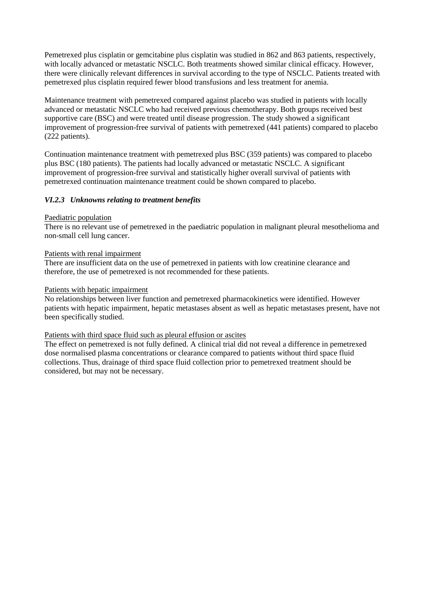Pemetrexed plus cisplatin or gemcitabine plus cisplatin was studied in 862 and 863 patients, respectively, with locally advanced or metastatic NSCLC. Both treatments showed similar clinical efficacy. However, there were clinically relevant differences in survival according to the type of NSCLC. Patients treated with pemetrexed plus cisplatin required fewer blood transfusions and less treatment for anemia.

Maintenance treatment with pemetrexed compared against placebo was studied in patients with locally advanced or metastatic NSCLC who had received previous chemotherapy. Both groups received best supportive care (BSC) and were treated until disease progression. The study showed a significant improvement of progression-free survival of patients with pemetrexed (441 patients) compared to placebo (222 patients).

Continuation maintenance treatment with pemetrexed plus BSC (359 patients) was compared to placebo plus BSC (180 patients). The patients had locally advanced or metastatic NSCLC. A significant improvement of progression-free survival and statistically higher overall survival of patients with pemetrexed continuation maintenance treatment could be shown compared to placebo.

#### *VI.2.3 Unknowns relating to treatment benefits*

#### Paediatric population

There is no relevant use of pemetrexed in the paediatric population in malignant pleural mesothelioma and non-small cell lung cancer.

#### Patients with renal impairment

There are insufficient data on the use of pemetrexed in patients with low creatinine clearance and therefore, the use of pemetrexed is not recommended for these patients.

#### Patients with hepatic impairment

No relationships between liver function and pemetrexed pharmacokinetics were identified. However patients with hepatic impairment, hepatic metastases absent as well as hepatic metastases present, have not been specifically studied.

#### Patients with third space fluid such as pleural effusion or ascites

The effect on pemetrexed is not fully defined. A clinical trial did not reveal a difference in pemetrexed dose normalised plasma concentrations or clearance compared to patients without third space fluid collections. Thus, drainage of third space fluid collection prior to pemetrexed treatment should be considered, but may not be necessary.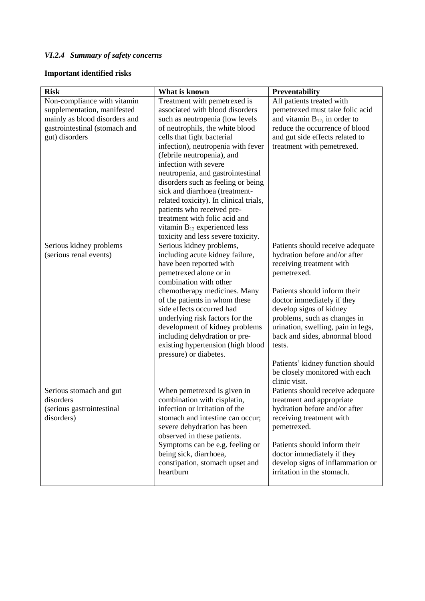# *VI.2.4 Summary of safety concerns*

## **Important identified risks**

| <b>Risk</b>                                                                                                                                    | What is known                                                                                                                                                                                                                                                                                                                                                                                                                                                                                                                                                     | Preventability                                                                                                                                                                                                                                                                                                                                                                                                 |
|------------------------------------------------------------------------------------------------------------------------------------------------|-------------------------------------------------------------------------------------------------------------------------------------------------------------------------------------------------------------------------------------------------------------------------------------------------------------------------------------------------------------------------------------------------------------------------------------------------------------------------------------------------------------------------------------------------------------------|----------------------------------------------------------------------------------------------------------------------------------------------------------------------------------------------------------------------------------------------------------------------------------------------------------------------------------------------------------------------------------------------------------------|
| Non-compliance with vitamin<br>supplementation, manifested<br>mainly as blood disorders and<br>gastrointestinal (stomach and<br>gut) disorders | Treatment with pemetrexed is<br>associated with blood disorders<br>such as neutropenia (low levels<br>of neutrophils, the white blood<br>cells that fight bacterial<br>infection), neutropenia with fever<br>(febrile neutropenia), and<br>infection with severe<br>neutropenia, and gastrointestinal<br>disorders such as feeling or being<br>sick and diarrhoea (treatment-<br>related toxicity). In clinical trials,<br>patients who received pre-<br>treatment with folic acid and<br>vitamin $B_{12}$ experienced less<br>toxicity and less severe toxicity. | All patients treated with<br>pemetrexed must take folic acid<br>and vitamin $B_{12}$ , in order to<br>reduce the occurrence of blood<br>and gut side effects related to<br>treatment with pemetrexed.                                                                                                                                                                                                          |
| Serious kidney problems<br>(serious renal events)                                                                                              | Serious kidney problems,<br>including acute kidney failure,<br>have been reported with<br>pemetrexed alone or in<br>combination with other<br>chemotherapy medicines. Many<br>of the patients in whom these<br>side effects occurred had<br>underlying risk factors for the<br>development of kidney problems<br>including dehydration or pre-<br>existing hypertension (high blood<br>pressure) or diabetes.                                                                                                                                                     | Patients should receive adequate<br>hydration before and/or after<br>receiving treatment with<br>pemetrexed.<br>Patients should inform their<br>doctor immediately if they<br>develop signs of kidney<br>problems, such as changes in<br>urination, swelling, pain in legs,<br>back and sides, abnormal blood<br>tests.<br>Patients' kidney function should<br>be closely monitored with each<br>clinic visit. |
| Serious stomach and gut<br>disorders<br>(serious gastrointestinal<br>disorders)                                                                | When pemetrexed is given in<br>combination with cisplatin,<br>infection or irritation of the<br>stomach and intestine can occur;<br>severe dehydration has been<br>observed in these patients.<br>Symptoms can be e.g. feeling or<br>being sick, diarrhoea,<br>constipation, stomach upset and<br>heartburn                                                                                                                                                                                                                                                       | Patients should receive adequate<br>treatment and appropriate<br>hydration before and/or after<br>receiving treatment with<br>pemetrexed.<br>Patients should inform their<br>doctor immediately if they<br>develop signs of inflammation or<br>irritation in the stomach.                                                                                                                                      |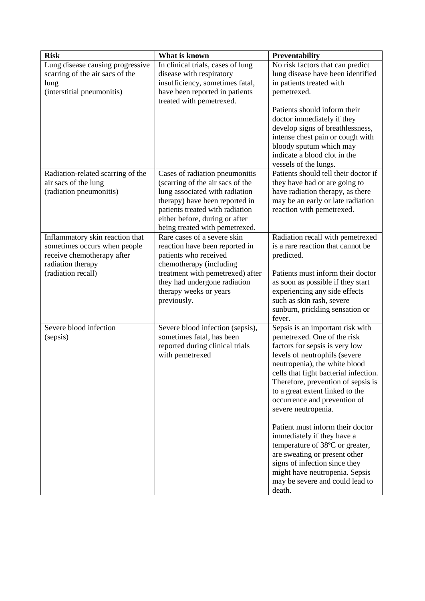| <b>Risk</b>                                                                                                                              | What is known                                                                                                                                                                                                                                 | Preventability                                                                                                                                                                                                                                                                                                                                                                                                                                                                                                                                                                                     |
|------------------------------------------------------------------------------------------------------------------------------------------|-----------------------------------------------------------------------------------------------------------------------------------------------------------------------------------------------------------------------------------------------|----------------------------------------------------------------------------------------------------------------------------------------------------------------------------------------------------------------------------------------------------------------------------------------------------------------------------------------------------------------------------------------------------------------------------------------------------------------------------------------------------------------------------------------------------------------------------------------------------|
| Lung disease causing progressive<br>scarring of the air sacs of the                                                                      | In clinical trials, cases of lung<br>disease with respiratory                                                                                                                                                                                 | No risk factors that can predict<br>lung disease have been identified                                                                                                                                                                                                                                                                                                                                                                                                                                                                                                                              |
| lung<br>(interstitial pneumonitis)                                                                                                       | insufficiency, sometimes fatal,<br>have been reported in patients<br>treated with pemetrexed.                                                                                                                                                 | in patients treated with<br>pemetrexed.                                                                                                                                                                                                                                                                                                                                                                                                                                                                                                                                                            |
|                                                                                                                                          |                                                                                                                                                                                                                                               | Patients should inform their<br>doctor immediately if they<br>develop signs of breathlessness,<br>intense chest pain or cough with<br>bloody sputum which may<br>indicate a blood clot in the<br>vessels of the lungs.                                                                                                                                                                                                                                                                                                                                                                             |
| Radiation-related scarring of the<br>air sacs of the lung<br>(radiation pneumonitis)                                                     | Cases of radiation pneumonitis<br>(scarring of the air sacs of the<br>lung associated with radiation<br>therapy) have been reported in<br>patients treated with radiation<br>either before, during or after<br>being treated with pemetrexed. | Patients should tell their doctor if<br>they have had or are going to<br>have radiation therapy, as there<br>may be an early or late radiation<br>reaction with pemetrexed.                                                                                                                                                                                                                                                                                                                                                                                                                        |
| Inflammatory skin reaction that<br>sometimes occurs when people<br>receive chemotherapy after<br>radiation therapy<br>(radiation recall) | Rare cases of a severe skin<br>reaction have been reported in<br>patients who received<br>chemotherapy (including<br>treatment with pemetrexed) after<br>they had undergone radiation<br>therapy weeks or years<br>previously.                | Radiation recall with pemetrexed<br>is a rare reaction that cannot be<br>predicted.<br>Patients must inform their doctor<br>as soon as possible if they start<br>experiencing any side effects<br>such as skin rash, severe<br>sunburn, prickling sensation or<br>fever.                                                                                                                                                                                                                                                                                                                           |
| Severe blood infection<br>(sepsis)                                                                                                       | Severe blood infection (sepsis),<br>sometimes fatal, has been<br>reported during clinical trials<br>with pemetrexed                                                                                                                           | Sepsis is an important risk with<br>pemetrexed. One of the risk<br>factors for sepsis is very low<br>levels of neutrophils (severe<br>neutropenia), the white blood<br>cells that fight bacterial infection.<br>Therefore, prevention of sepsis is<br>to a great extent linked to the<br>occurrence and prevention of<br>severe neutropenia.<br>Patient must inform their doctor<br>immediately if they have a<br>temperature of 38°C or greater,<br>are sweating or present other<br>signs of infection since they<br>might have neutropenia. Sepsis<br>may be severe and could lead to<br>death. |